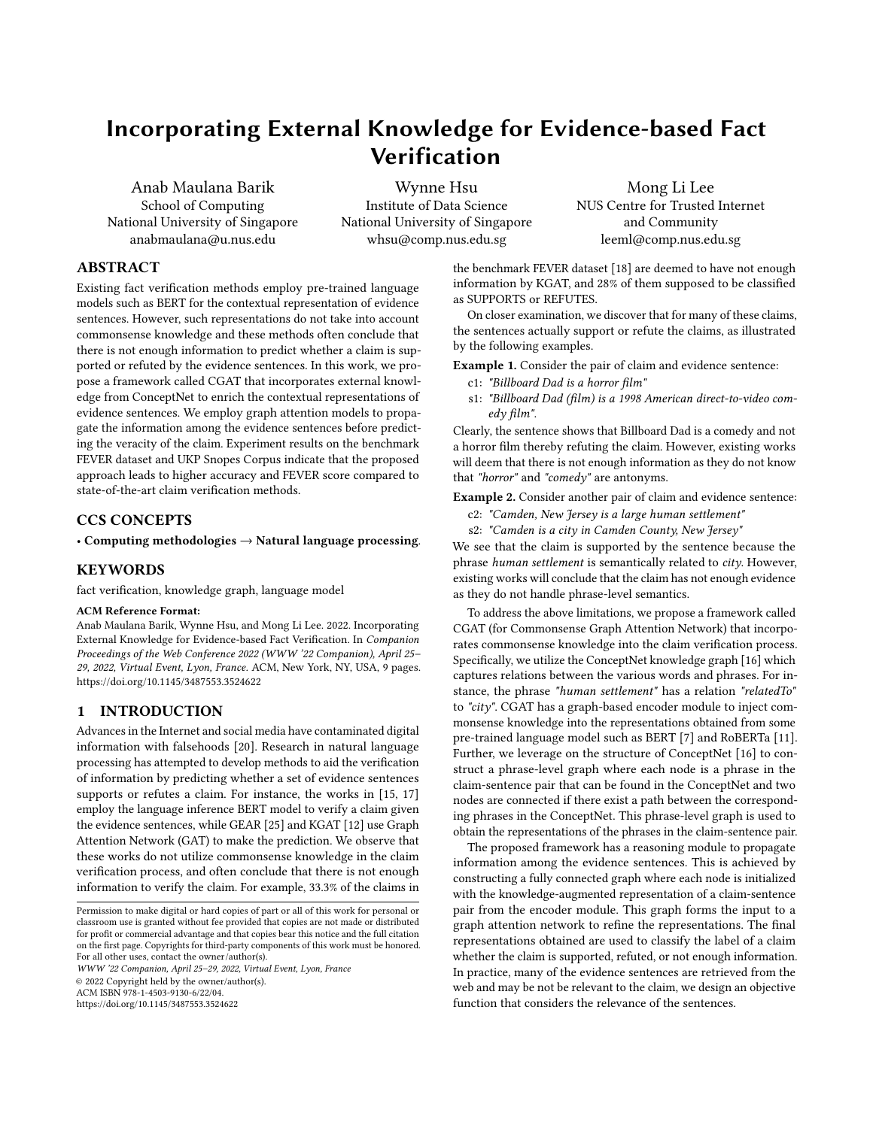# Incorporating External Knowledge for Evidence-based Fact Verification

Anab Maulana Barik School of Computing National University of Singapore anabmaulana@u.nus.edu

Wynne Hsu Institute of Data Science National University of Singapore whsu@comp.nus.edu.sg

Mong Li Lee NUS Centre for Trusted Internet and Community leeml@comp.nus.edu.sg

# ABSTRACT

Existing fact verification methods employ pre-trained language models such as BERT for the contextual representation of evidence sentences. However, such representations do not take into account commonsense knowledge and these methods often conclude that there is not enough information to predict whether a claim is supported or refuted by the evidence sentences. In this work, we propose a framework called CGAT that incorporates external knowledge from ConceptNet to enrich the contextual representations of evidence sentences. We employ graph attention models to propagate the information among the evidence sentences before predicting the veracity of the claim. Experiment results on the benchmark FEVER dataset and UKP Snopes Corpus indicate that the proposed approach leads to higher accuracy and FEVER score compared to state-of-the-art claim verification methods.

## CCS CONCEPTS

• Computing methodologies → Natural language processing.

## **KEYWORDS**

fact verification, knowledge graph, language model

#### ACM Reference Format:

Anab Maulana Barik, Wynne Hsu, and Mong Li Lee. 2022. Incorporating External Knowledge for Evidence-based Fact Verification. In Companion Proceedings of the Web Conference 2022 (WWW '22 Companion), April 25– 29, 2022, Virtual Event, Lyon, France. ACM, New York, NY, USA, [9](#page-8-0) pages. <https://doi.org/10.1145/3487553.3524622>

#### 1 INTRODUCTION

Advances in the Internet and social media have contaminated digital information with falsehoods [\[20\]](#page-8-1). Research in natural language processing has attempted to develop methods to aid the verification of information by predicting whether a set of evidence sentences supports or refutes a claim. For instance, the works in [\[15,](#page-8-2) [17\]](#page-8-3) employ the language inference BERT model to verify a claim given the evidence sentences, while GEAR [\[25\]](#page-8-4) and KGAT [\[12\]](#page-8-5) use Graph Attention Network (GAT) to make the prediction. We observe that these works do not utilize commonsense knowledge in the claim verification process, and often conclude that there is not enough information to verify the claim. For example, 33.3% of the claims in

WWW '22 Companion, April 25–29, 2022, Virtual Event, Lyon, France

© 2022 Copyright held by the owner/author(s). ACM ISBN 978-1-4503-9130-6/22/04.

<https://doi.org/10.1145/3487553.3524622>

the benchmark FEVER dataset [\[18\]](#page-8-6) are deemed to have not enough information by KGAT, and 28% of them supposed to be classified as SUPPORTS or REFUTES.

On closer examination, we discover that for many of these claims, the sentences actually support or refute the claims, as illustrated by the following examples.

Example 1. Consider the pair of claim and evidence sentence:

- c1: "Billboard Dad is a horror film"
- s1: "Billboard Dad (film) is a 1998 American direct-to-video comedy film".

Clearly, the sentence shows that Billboard Dad is a comedy and not a horror film thereby refuting the claim. However, existing works will deem that there is not enough information as they do not know that "horror" and "comedy" are antonyms.

Example 2. Consider another pair of claim and evidence sentence:

- c2: "Camden, New Jersey is a large human settlement"
- s2: "Camden is a city in Camden County, New Jersey"

We see that the claim is supported by the sentence because the phrase human settlement is semantically related to city. However, existing works will conclude that the claim has not enough evidence as they do not handle phrase-level semantics.

To address the above limitations, we propose a framework called CGAT (for Commonsense Graph Attention Network) that incorporates commonsense knowledge into the claim verification process. Specifically, we utilize the ConceptNet knowledge graph [\[16\]](#page-8-7) which captures relations between the various words and phrases. For instance, the phrase "human settlement" has a relation "relatedTo" to "city". CGAT has a graph-based encoder module to inject commonsense knowledge into the representations obtained from some pre-trained language model such as BERT [\[7\]](#page-8-8) and RoBERTa [\[11\]](#page-8-9). Further, we leverage on the structure of ConceptNet [\[16\]](#page-8-7) to construct a phrase-level graph where each node is a phrase in the claim-sentence pair that can be found in the ConceptNet and two nodes are connected if there exist a path between the corresponding phrases in the ConceptNet. This phrase-level graph is used to obtain the representations of the phrases in the claim-sentence pair.

The proposed framework has a reasoning module to propagate information among the evidence sentences. This is achieved by constructing a fully connected graph where each node is initialized with the knowledge-augmented representation of a claim-sentence pair from the encoder module. This graph forms the input to a graph attention network to refine the representations. The final representations obtained are used to classify the label of a claim whether the claim is supported, refuted, or not enough information. In practice, many of the evidence sentences are retrieved from the web and may be not be relevant to the claim, we design an objective function that considers the relevance of the sentences.

Permission to make digital or hard copies of part or all of this work for personal or classroom use is granted without fee provided that copies are not made or distributed for profit or commercial advantage and that copies bear this notice and the full citation on the first page. Copyrights for third-party components of this work must be honored. For all other uses, contact the owner/author(s).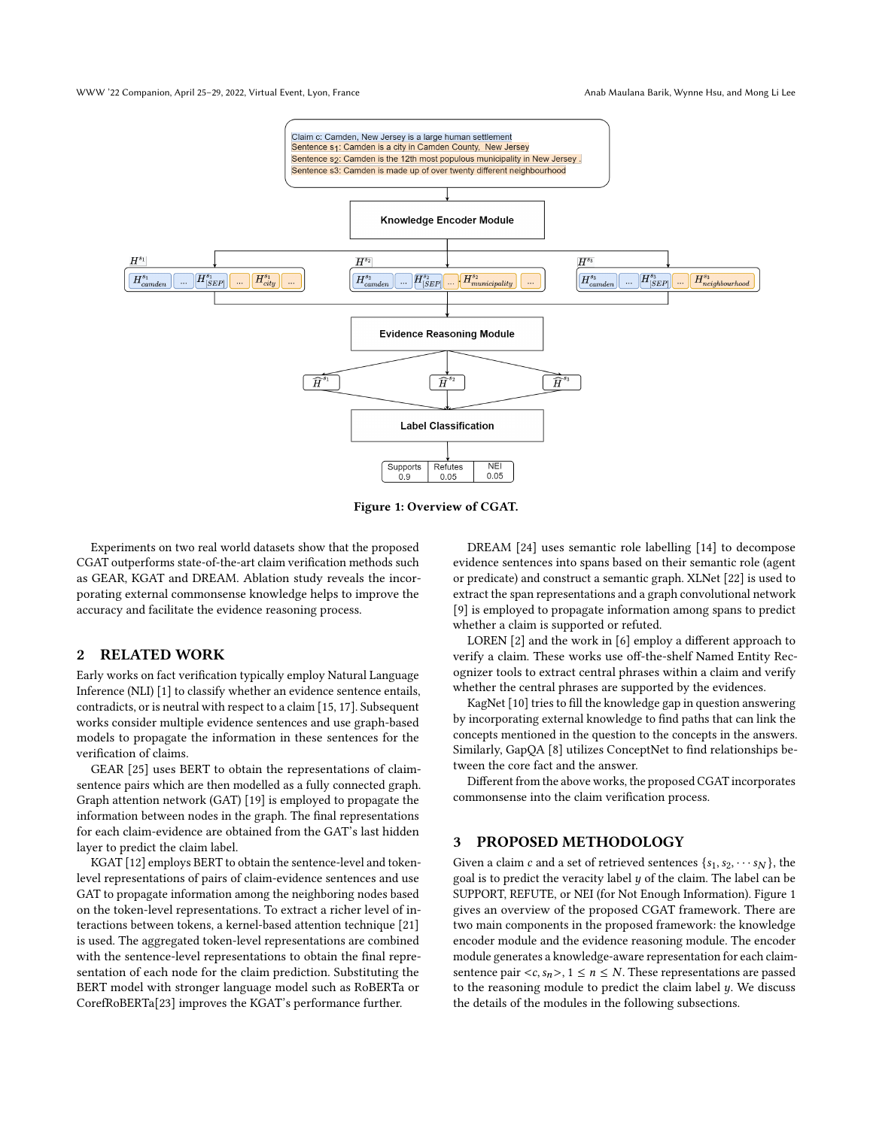<span id="page-1-0"></span>WWW '22 Companion, April 25–29, 2022, Virtual Event, Lyon, France Anab Maulana Barik, Wynne Hsu, and Mong Li Lee



Figure 1: Overview of CGAT.

Experiments on two real world datasets show that the proposed CGAT outperforms state-of-the-art claim verification methods such as GEAR, KGAT and DREAM. Ablation study reveals the incorporating external commonsense knowledge helps to improve the accuracy and facilitate the evidence reasoning process.

## 2 RELATED WORK

Early works on fact verification typically employ Natural Language Inference (NLI) [\[1\]](#page-8-10) to classify whether an evidence sentence entails, contradicts, or is neutral with respect to a claim [\[15,](#page-8-2) [17\]](#page-8-3). Subsequent works consider multiple evidence sentences and use graph-based models to propagate the information in these sentences for the verification of claims.

GEAR [\[25\]](#page-8-4) uses BERT to obtain the representations of claimsentence pairs which are then modelled as a fully connected graph. Graph attention network (GAT) [\[19\]](#page-8-11) is employed to propagate the information between nodes in the graph. The final representations for each claim-evidence are obtained from the GAT's last hidden layer to predict the claim label.

KGAT [\[12\]](#page-8-5) employs BERT to obtain the sentence-level and tokenlevel representations of pairs of claim-evidence sentences and use GAT to propagate information among the neighboring nodes based on the token-level representations. To extract a richer level of interactions between tokens, a kernel-based attention technique [\[21\]](#page-8-12) is used. The aggregated token-level representations are combined with the sentence-level representations to obtain the final representation of each node for the claim prediction. Substituting the BERT model with stronger language model such as RoBERTa or CorefRoBERTa[\[23\]](#page-8-13) improves the KGAT's performance further.

DREAM [\[24\]](#page-8-14) uses semantic role labelling [\[14\]](#page-8-15) to decompose evidence sentences into spans based on their semantic role (agent or predicate) and construct a semantic graph. XLNet [\[22\]](#page-8-16) is used to extract the span representations and a graph convolutional network [\[9\]](#page-8-17) is employed to propagate information among spans to predict whether a claim is supported or refuted.

LOREN [\[2\]](#page-8-18) and the work in [\[6\]](#page-8-19) employ a different approach to verify a claim. These works use off-the-shelf Named Entity Recognizer tools to extract central phrases within a claim and verify whether the central phrases are supported by the evidences.

KagNet [\[10\]](#page-8-20) tries to fill the knowledge gap in question answering by incorporating external knowledge to find paths that can link the concepts mentioned in the question to the concepts in the answers. Similarly, GapQA [\[8\]](#page-8-21) utilizes ConceptNet to find relationships between the core fact and the answer.

Different from the above works, the proposed CGAT incorporates commonsense into the claim verification process.

## 3 PROPOSED METHODOLOGY

Given a claim *c* and a set of retrieved sentences  $\{s_1, s_2, \cdots s_N\}$ , the goal is to predict the veracity label  $y$  of the claim. The label can be SUPPORT, REFUTE, or NEI (for Not Enough Information). Figure [1](#page-1-0) gives an overview of the proposed CGAT framework. There are two main components in the proposed framework: the knowledge encoder module and the evidence reasoning module. The encoder module generates a knowledge-aware representation for each claimsentence pair  $\langle c, s_n \rangle$ ,  $1 \le n \le N$ . These representations are passed to the reasoning module to predict the claim label  $y$ . We discuss the details of the modules in the following subsections.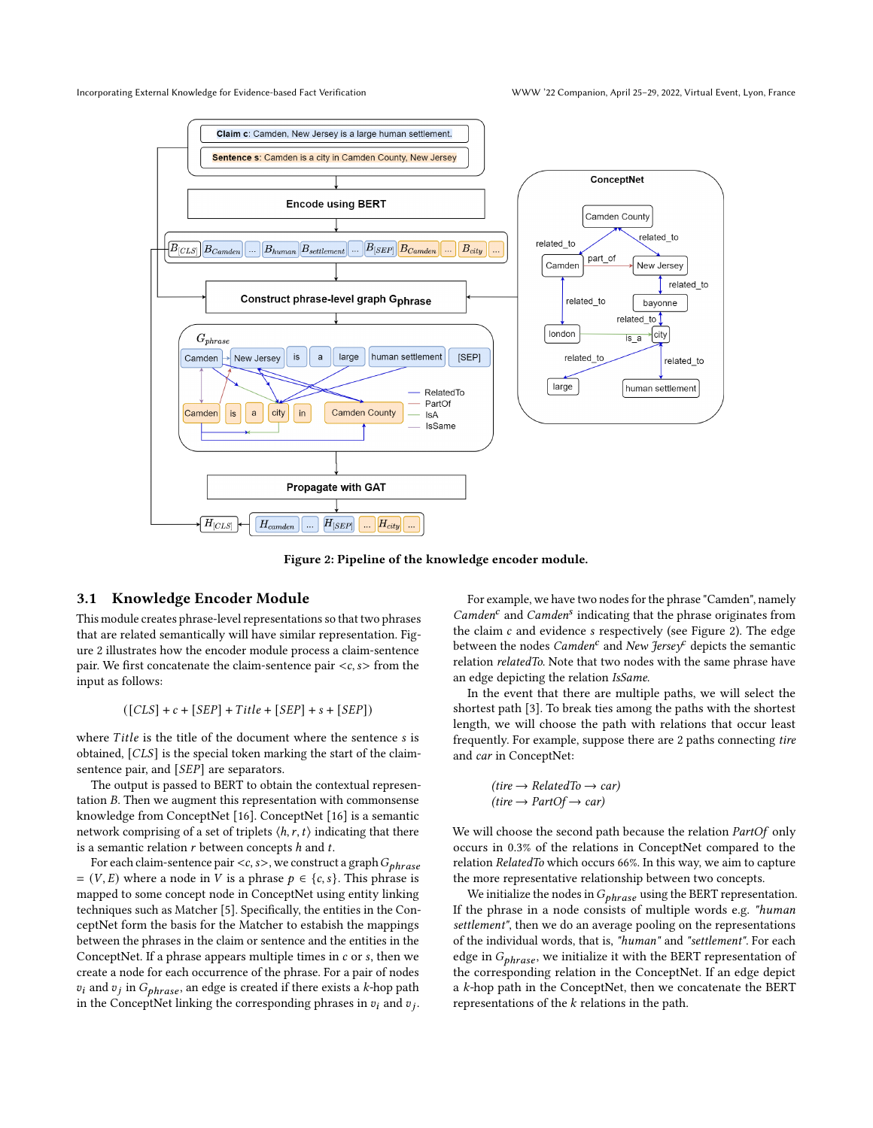<span id="page-2-0"></span>

Figure 2: Pipeline of the knowledge encoder module.

## 3.1 Knowledge Encoder Module

This module creates phrase-level representations so that two phrases that are related semantically will have similar representation. Figure [2](#page-2-0) illustrates how the encoder module process a claim-sentence pair. We first concatenate the claim-sentence pair  $\langle c, s \rangle$  from the input as follows:

$$
([CLS] + c + [SEP] + Title + [SEP] + s + [SEP])
$$

where  $Title$  is the title of the document where the sentence  $s$  is obtained,  $[CLS]$  is the special token marking the start of the claimsentence pair, and  $[SEP]$  are separators.

The output is passed to BERT to obtain the contextual representation  $B$ . Then we augment this representation with commonsense knowledge from ConceptNet [\[16\]](#page-8-7). ConceptNet [\[16\]](#page-8-7) is a semantic network comprising of a set of triplets  $\langle h, r, t \rangle$  indicating that there is a semantic relation  $r$  between concepts  $h$  and  $t$ .

For each claim-sentence pair <c, s>, we construct a graph  $G_{\text{phrase}}$ =  $(V, E)$  where a node in V is a phrase  $p \in \{c, s\}$ . This phrase is mapped to some concept node in ConceptNet using entity linking techniques such as Matcher [\[5\]](#page-8-22). Specifically, the entities in the ConceptNet form the basis for the Matcher to estabish the mappings between the phrases in the claim or sentence and the entities in the ConceptNet. If a phrase appears multiple times in  $c$  or  $s$ , then we create a node for each occurrence of the phrase. For a pair of nodes  $v_i$  and  $v_j$  in  $G_{phrase}$ , an edge is created if there exists a k-hop path in the ConceptNet linking the corresponding phrases in  $v_i$  and  $v_j$ .

For example, we have two nodes for the phrase "Camden", namely Camden<sup>c</sup> and Camden<sup>s</sup> indicating that the phrase originates from the claim  $c$  and evidence  $s$  respectively (see Figure [2\)](#page-2-0). The edge between the nodes Camden<sup>c</sup> and New Jersey<sup>c</sup> depicts the semantic relation relatedTo. Note that two nodes with the same phrase have an edge depicting the relation IsSame.

In the event that there are multiple paths, we will select the shortest path [\[3\]](#page-8-23). To break ties among the paths with the shortest length, we will choose the path with relations that occur least frequently. For example, suppose there are 2 paths connecting tire and car in ConceptNet:

$$
(tire \rightarrow RelatedTo \rightarrow car)
$$

$$
(tire \rightarrow PartOf \rightarrow car)
$$

We will choose the second path because the relation PartOf only occurs in 0.3% of the relations in ConceptNet compared to the relation RelatedTo which occurs 66%. In this way, we aim to capture the more representative relationship between two concepts.

We initialize the nodes in  $G_{phrase}$  using the BERT representation. If the phrase in a node consists of multiple words e.g. "human settlement", then we do an average pooling on the representations of the individual words, that is, "human" and "settlement". For each edge in  $G_{phrase}$ , we initialize it with the BERT representation of the corresponding relation in the ConceptNet. If an edge depict a k-hop path in the ConceptNet, then we concatenate the BERT representations of the  $k$  relations in the path.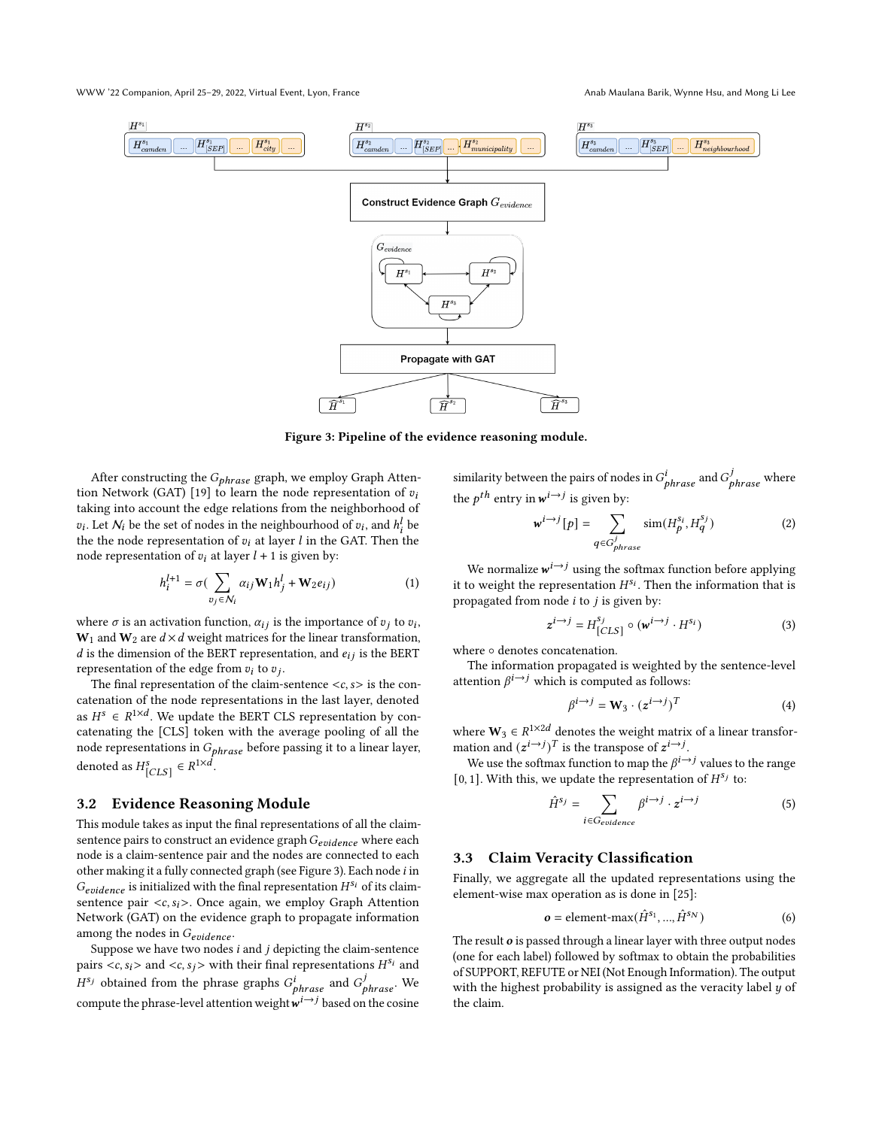<span id="page-3-0"></span>WWW '22 Companion, April 25–29, 2022, Virtual Event, Lyon, France Anab Maulana Barik, Wynne Hsu, and Mong Li Lee



Figure 3: Pipeline of the evidence reasoning module.

After constructing the  $G_{phrase}$  graph, we employ Graph Atten-tion Network (GAT) [\[19\]](#page-8-11) to learn the node representation of  $v_i$ taking into account the edge relations from the neighborhood of  $v_i$ . Let  $N_i$  be the set of nodes in the neighbourhood of  $v_i$ , and  $h_i^l$  be the the node representation of  $v_i$  at layer *l* in the GAT. Then the node representation of  $v_i$  at layer  $l + 1$  is given by:

$$
h_i^{l+1} = \sigma\left(\sum_{v_j \in \mathcal{N}_i} \alpha_{ij} \mathbf{W}_1 h_j^l + \mathbf{W}_2 e_{ij}\right) \tag{1}
$$

where  $\sigma$  is an activation function,  $\alpha_{ij}$  is the importance of  $v_j$  to  $v_i$ ,  $W_1$  and  $W_2$  are  $d \times d$  weight matrices for the linear transformation, d is the dimension of the BERT representation, and  $e_{ij}$  is the BERT representation of the edge from  $v_i$  to  $v_j$ .

The final representation of the claim-sentence  $\langle c, s \rangle$  is the concatenation of the node representations in the last layer, denoted as  $H^s \in R^{1 \times d}$ . We update the BERT CLS representation by concatenating the [CLS] token with the average pooling of all the node representations in  $G_{phrase}$  before passing it to a linear layer, denoted as  $H_{[CLS]}^s \in R^{1 \times d}$ .

#### 3.2 Evidence Reasoning Module

This module takes as input the final representations of all the claimsentence pairs to construct an evidence graph  $G_{evidence}$  where each node is a claim-sentence pair and the nodes are connected to each other making it a fully connected graph (see Figure [3\)](#page-3-0). Each node *i* in  $G_{evidence}$  is initialized with the final representation  $H^{s_i}$  of its claimsentence pair  $\langle c, s_i \rangle$ . Once again, we employ Graph Attention Network (GAT) on the evidence graph to propagate information among the nodes in  $G_{evidence}$ .

Suppose we have two nodes  $i$  and  $j$  depicting the claim-sentence pairs  $\langle c, s_i \rangle$  and  $\langle c, s_j \rangle$  with their final representations  $H^{s_i}$  and  $H^{s_j}$  obtained from the phrase graphs  $G^i_{\text{phrase}}$  and  $G^j_{\text{phrase}}$ . We compute the phrase-level attention weight  $w^{i\rightarrow j}$  based on the cosine similarity between the pairs of nodes in  $G^i_{\textit{phrase}}$  and  $G^j_{\textit{phrase}}$  where the  $p^{th}$  entry in  $w^{i\rightarrow j}$  is given by:

$$
\mathbf{w}^{i \to j} [p] = \sum_{q \in G_{phrase}^{j}} \text{sim}(H_{p}^{s_{i}}, H_{q}^{s_{j}})
$$
(2)

We normalize  $w^{i\rightarrow j}$  using the softmax function before applying it to weight the representation  $H^{s_i}$ . Then the information that is propagated from node  $i$  to  $j$  is given by:

$$
z^{i \to j} = H_{[CLS]}^{s_j} \circ (\mathbf{w}^{i \to j} \cdot H^{s_i})
$$
 (3)

where ∘ denotes concatenation.

The information propagated is weighted by the sentence-level attention  $\beta^{i\rightarrow j}$  which is computed as follows:

$$
\beta^{i \to j} = \mathbf{W}_3 \cdot (z^{i \to j})^T \tag{4}
$$

where  $\mathbf{W}_3 \in R^{1 \times 2d}$  denotes the weight matrix of a linear transformation and  $(z^{i\rightarrow j})^T$  is the transpose of  $z^{i\rightarrow j}$ .

We use the softmax function to map the  $\beta^{i\rightarrow j}$  values to the range [0, 1]. With this, we update the representation of  $H^{s_j}$  to:

$$
\hat{H}^{s_j} = \sum_{i \in G_{evidence}} \beta^{i \to j} \cdot z^{i \to j} \tag{5}
$$

## 3.3 Claim Veracity Classification

Finally, we aggregate all the updated representations using the element-wise max operation as is done in [\[25\]](#page-8-4):

$$
\mathbf{o} = \text{element-max}(\hat{H}^{s_1}, ..., \hat{H}^{s_N})
$$
(6)

The result  $o$  is passed through a linear layer with three output nodes (one for each label) followed by softmax to obtain the probabilities of SUPPORT, REFUTE or NEI (Not Enough Information). The output with the highest probability is assigned as the veracity label  $y$  of the claim.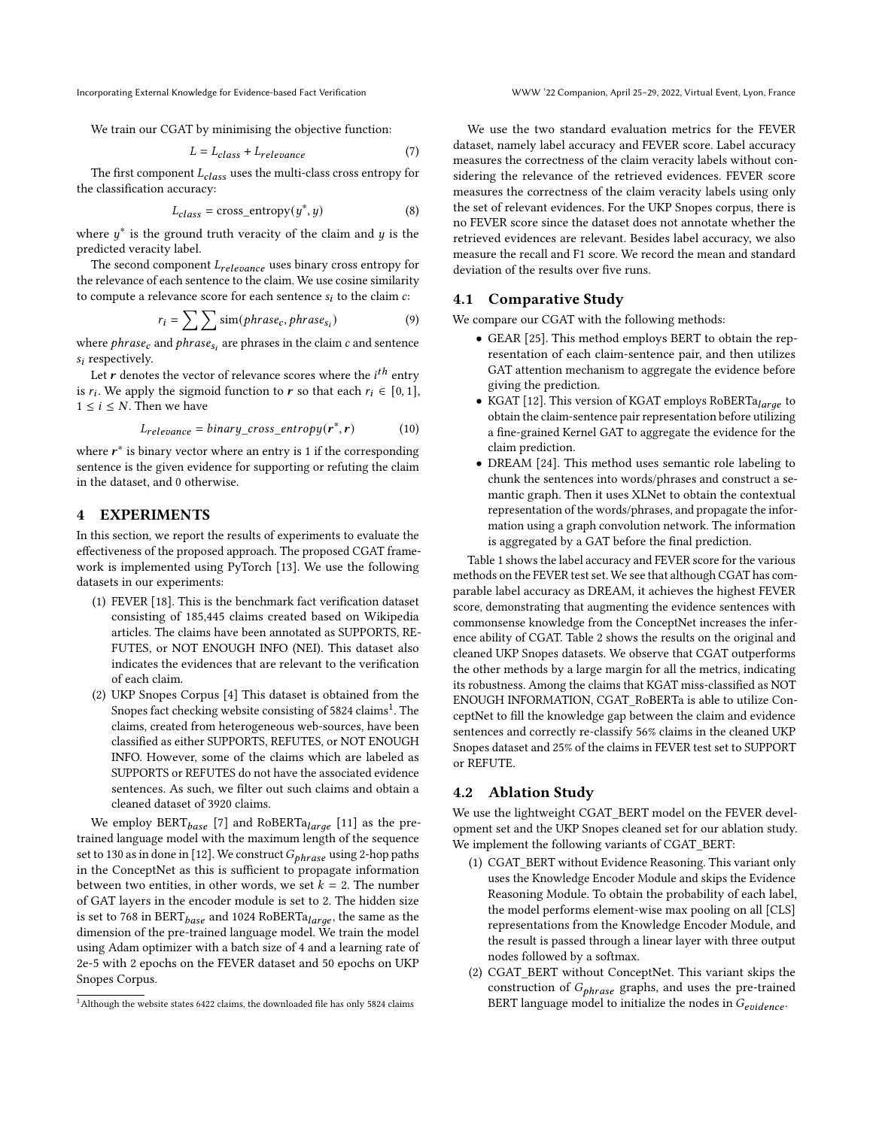Incorporating External Knowledge for Evidence-based Fact Verification WWW '22 Companion, April 25–29, 2022, Virtual Event, Lyon, France

We train our CGAT by minimising the objective function:

$$
L = L_{class} + L_{relevance} \tag{7}
$$

The first component  $L_{class}$  uses the multi-class cross entropy for the classification accuracy:

$$
L_{class} = \text{cross\_entropy}(y^*, y) \tag{8}
$$

where  $y^*$  is the ground truth veracity of the claim and  $y$  is the predicted veracity label.

The second component  $L_{relevance}$  uses binary cross entropy for the relevance of each sentence to the claim. We use cosine similarity to compute a relevance score for each sentence  $s_i$  to the claim  $c$ :

$$
r_i = \sum \sum \text{sim}(phrase_c, phrase_{s_i})
$$
 (9)

where  $phrase_c$  and  $phrase_{s_i}$  are phrases in the claim  $c$  and sentence  $s_i$  respectively.

Let  $\vec{r}$  denotes the vector of relevance scores where the  $i^{th}$  entry is  $r_i$ . We apply the sigmoid function to r so that each  $r_i \in [0, 1]$ ,  $1 \leq i \leq N$ . Then we have

$$
L_{relevance} = binary\_cross\_entropy(r^*, r)
$$
 (10)

where  $r^*$  is binary vector where an entry is 1 if the corresponding sentence is the given evidence for supporting or refuting the claim in the dataset, and 0 otherwise.

## 4 EXPERIMENTS

In this section, we report the results of experiments to evaluate the effectiveness of the proposed approach. The proposed CGAT framework is implemented using PyTorch [\[13\]](#page-8-24). We use the following datasets in our experiments:

- (1) FEVER [\[18\]](#page-8-6). This is the benchmark fact verification dataset consisting of 185,445 claims created based on Wikipedia articles. The claims have been annotated as SUPPORTS, RE-FUTES, or NOT ENOUGH INFO (NEI). This dataset also indicates the evidences that are relevant to the verification of each claim.
- (2) UKP Snopes Corpus [\[4\]](#page-8-25) This dataset is obtained from the Snopes fact checking website consisting of 5824 claims<sup>[1](#page-4-0)</sup>. The claims, created from heterogeneous web-sources, have been classified as either SUPPORTS, REFUTES, or NOT ENOUGH INFO. However, some of the claims which are labeled as SUPPORTS or REFUTES do not have the associated evidence sentences. As such, we filter out such claims and obtain a cleaned dataset of 3920 claims.

We employ  $BERT_{base}$  [\[7\]](#page-8-8) and RoBERTa<sub>large</sub> [\[11\]](#page-8-9) as the pretrained language model with the maximum length of the sequence set to 130 as in done in [\[12\]](#page-8-5). We construct  $G_{phrase}$  using 2-hop paths in the ConceptNet as this is sufficient to propagate information between two entities, in other words, we set  $k = 2$ . The number of GAT layers in the encoder module is set to 2. The hidden size is set to 768 in BERT $_{base}$  and 1024 RoBERT $a_{large}$ , the same as the dimension of the pre-trained language model. We train the model using Adam optimizer with a batch size of 4 and a learning rate of 2e-5 with 2 epochs on the FEVER dataset and 50 epochs on UKP Snopes Corpus.

We use the two standard evaluation metrics for the FEVER dataset, namely label accuracy and FEVER score. Label accuracy measures the correctness of the claim veracity labels without considering the relevance of the retrieved evidences. FEVER score measures the correctness of the claim veracity labels using only the set of relevant evidences. For the UKP Snopes corpus, there is no FEVER score since the dataset does not annotate whether the retrieved evidences are relevant. Besides label accuracy, we also measure the recall and F1 score. We record the mean and standard deviation of the results over five runs.

#### 4.1 Comparative Study

We compare our CGAT with the following methods:

- GEAR [\[25\]](#page-8-4). This method employs BERT to obtain the representation of each claim-sentence pair, and then utilizes GAT attention mechanism to aggregate the evidence before giving the prediction.
- KGAT [\[12\]](#page-8-5). This version of KGAT employs RoBERTa $_{large}$  to obtain the claim-sentence pair representation before utilizing a fine-grained Kernel GAT to aggregate the evidence for the claim prediction.
- DREAM [\[24\]](#page-8-14). This method uses semantic role labeling to chunk the sentences into words/phrases and construct a semantic graph. Then it uses XLNet to obtain the contextual representation of the words/phrases, and propagate the information using a graph convolution network. The information is aggregated by a GAT before the final prediction.

Table [1](#page-5-0) shows the label accuracy and FEVER score for the various methods on the FEVER test set. We see that although CGAT has comparable label accuracy as DREAM, it achieves the highest FEVER score, demonstrating that augmenting the evidence sentences with commonsense knowledge from the ConceptNet increases the inference ability of CGAT. Table [2](#page-5-1) shows the results on the original and cleaned UKP Snopes datasets. We observe that CGAT outperforms the other methods by a large margin for all the metrics, indicating its robustness. Among the claims that KGAT miss-classified as NOT ENOUGH INFORMATION, CGAT\_RoBERTa is able to utilize ConceptNet to fill the knowledge gap between the claim and evidence sentences and correctly re-classify 56% claims in the cleaned UKP Snopes dataset and 25% of the claims in FEVER test set to SUPPORT or REFUTE.

#### 4.2 Ablation Study

We use the lightweight CGAT\_BERT model on the FEVER development set and the UKP Snopes cleaned set for our ablation study. We implement the following variants of CGAT\_BERT:

- (1) CGAT\_BERT without Evidence Reasoning. This variant only uses the Knowledge Encoder Module and skips the Evidence Reasoning Module. To obtain the probability of each label, the model performs element-wise max pooling on all [CLS] representations from the Knowledge Encoder Module, and the result is passed through a linear layer with three output nodes followed by a softmax.
- (2) CGAT\_BERT without ConceptNet. This variant skips the construction of  $G_{phrase}$  graphs, and uses the pre-trained BERT language model to initialize the nodes in  $G_{evidence}$ .

<span id="page-4-0"></span> $1$ Although the website states 6422 claims, the downloaded file has only 5824 claims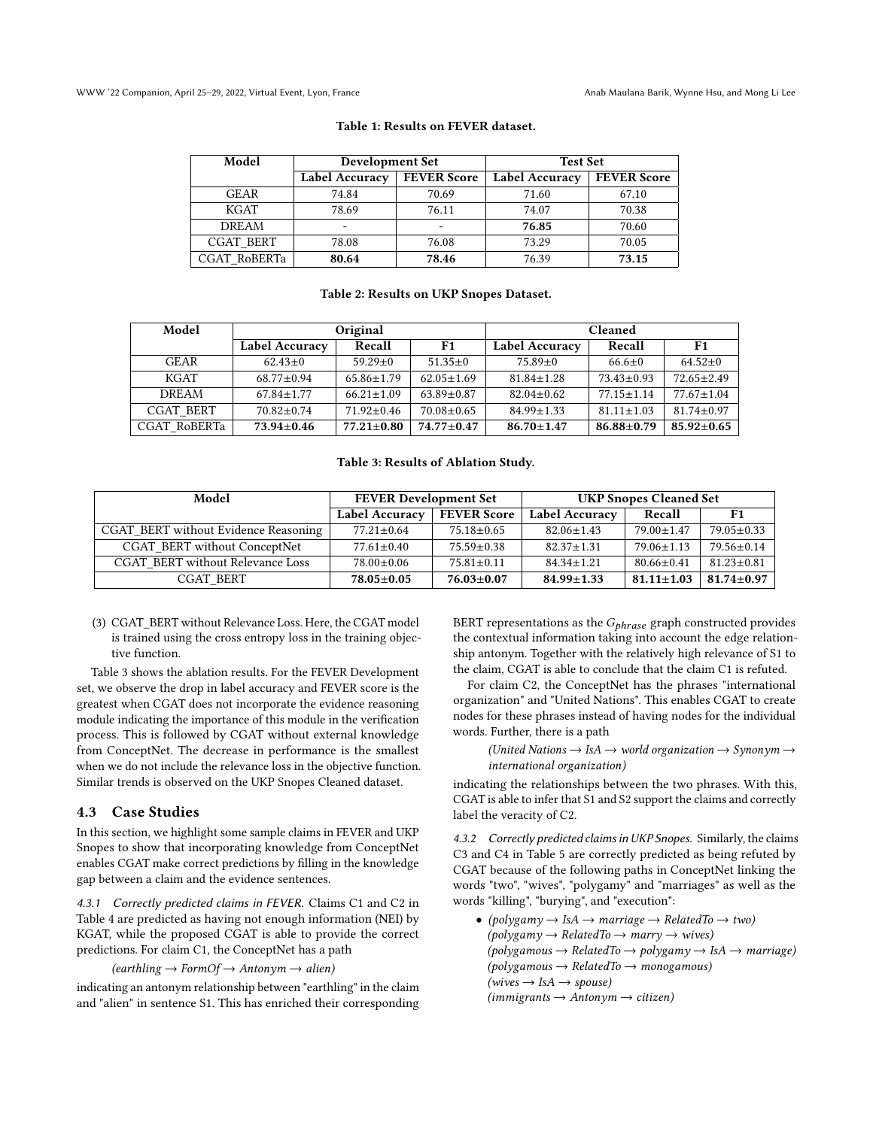<span id="page-5-0"></span>WWW '22 Companion, April 25–29, 2022, Virtual Event, Lyon, France Anab Maulana Barik, Wynne Hsu, and Mong Li Lee

| Model        | Development Set       |                    | <b>Test Set</b>       |                    |  |
|--------------|-----------------------|--------------------|-----------------------|--------------------|--|
|              | <b>Label Accuracy</b> | <b>FEVER Score</b> | <b>Label Accuracy</b> | <b>FEVER Score</b> |  |
| <b>GEAR</b>  | 74.84                 | 70.69              | 71.60                 | 67.10              |  |
| <b>KGAT</b>  | 78.69                 | 76.11              | 74.07                 | 70.38              |  |
| <b>DREAM</b> | -                     | ۰                  | 76.85                 | 70.60              |  |
| CGAT BERT    | 78.08                 | 76.08              | 73.29                 | 70.05              |  |
| CGAT RoBERTa | 80.64                 | 78.46              | 76.39                 | 73.15              |  |

#### Table 1: Results on FEVER dataset.

#### Table 2: Results on UKP Snopes Dataset.

<span id="page-5-1"></span>

| Model            | Original              |                  |                  | Cleaned          |                  |                  |
|------------------|-----------------------|------------------|------------------|------------------|------------------|------------------|
|                  | <b>Label Accuracy</b> | Recall           | F1               | Label Accuracy   | Recall           | F1               |
| <b>GEAR</b>      | $62.43 \pm 0$         | $59.29 \pm 0$    | $51.35 \pm 0$    | $75.89 \pm 0$    | $66.6 \pm 0$     | $64.52 \pm 0$    |
| KGAT             | $68.77 \pm 0.94$      | $65.86 \pm 1.79$ | $62.05 \pm 1.69$ | $81.84 \pm 1.28$ | $73.43 \pm 0.93$ | $72.65 \pm 2.49$ |
| <b>DREAM</b>     | $67.84 \pm 1.77$      | $66.21 \pm 1.09$ | $63.89 \pm 0.87$ | $82.04 \pm 0.62$ | $77.15 \pm 1.14$ | $77.67 \pm 1.04$ |
| <b>CGAT BERT</b> | $70.82 \pm 0.74$      | $71.92 \pm 0.46$ | $70.08 \pm 0.65$ | $84.99 \pm 1.33$ | $81.11 \pm 1.03$ | $81.74 \pm 0.97$ |
| CGAT RoBERTa     | $73.94 \pm 0.46$      | $77.21 \pm 0.80$ | $74.77 \pm 0.47$ | $86.70 \pm 1.47$ | $86.88 \pm 0.79$ | $85.92 \pm 0.65$ |

#### Table 3: Results of Ablation Study.

<span id="page-5-2"></span>

| Model                                | <b>FEVER Development Set</b> |                    | <b>UKP Snopes Cleaned Set</b> |                  |                  |
|--------------------------------------|------------------------------|--------------------|-------------------------------|------------------|------------------|
|                                      | <b>Label Accuracy</b>        | <b>FEVER</b> Score | <b>Label Accuracy</b>         | Recall           | F1               |
| CGAT BERT without Evidence Reasoning | $77.21 \pm 0.64$             | $75.18 \pm 0.65$   | $82.06 \pm 1.43$              | $79.00 \pm 1.47$ | $79.05 \pm 0.33$ |
| CGAT BERT without ConceptNet         | $77.61 \pm 0.40$             | $75.59 \pm 0.38$   | $82.37 \pm 1.31$              | $79.06 \pm 1.13$ | $79.56 \pm 0.14$ |
| CGAT BERT without Relevance Loss     | $78.00 \pm 0.06$             | $75.81 \pm 0.11$   | $84.34 \pm 1.21$              | $80.66 \pm 0.41$ | $81.23 \pm 0.81$ |
| CGAT BERT                            | $78.05 \pm 0.05$             | $76.03 \pm 0.07$   | $84.99 \pm 1.33$              | $81.11 + 1.03$   | $81.74 \pm 0.97$ |

(3) CGAT\_BERT without Relevance Loss. Here, the CGAT model is trained using the cross entropy loss in the training objective function.

Table [3](#page-5-2) shows the ablation results. For the FEVER Development set, we observe the drop in label accuracy and FEVER score is the greatest when CGAT does not incorporate the evidence reasoning module indicating the importance of this module in the verification process. This is followed by CGAT without external knowledge from ConceptNet. The decrease in performance is the smallest when we do not include the relevance loss in the objective function. Similar trends is observed on the UKP Snopes Cleaned dataset.

## 4.3 Case Studies

In this section, we highlight some sample claims in FEVER and UKP Snopes to show that incorporating knowledge from ConceptNet enables CGAT make correct predictions by filling in the knowledge gap between a claim and the evidence sentences.

4.3.1 Correctly predicted claims in FEVER. Claims C1 and C2 in Table [4](#page-6-0) are predicted as having not enough information (NEI) by KGAT, while the proposed CGAT is able to provide the correct predictions. For claim C1, the ConceptNet has a path

 $(earthling \rightarrow FormOf \rightarrow Antonym \rightarrow alien)$ 

indicating an antonym relationship between "earthling" in the claim and "alien" in sentence S1. This has enriched their corresponding BERT representations as the  $G_{phrase}$  graph constructed provides the contextual information taking into account the edge relationship antonym. Together with the relatively high relevance of S1 to the claim, CGAT is able to conclude that the claim C1 is refuted.

For claim C2, the ConceptNet has the phrases "international organization" and "United Nations". This enables CGAT to create nodes for these phrases instead of having nodes for the individual words. Further, there is a path

> (United Nations  $\rightarrow$  IsA  $\rightarrow$  world organization  $\rightarrow$  Synonym  $\rightarrow$ international organization)

indicating the relationships between the two phrases. With this, CGAT is able to infer that S1 and S2 support the claims and correctly label the veracity of C2.

4.3.2 Correctly predicted claims in UKP Snopes. Similarly, the claims C3 and C4 in Table [5](#page-7-0) are correctly predicted as being refuted by CGAT because of the following paths in ConceptNet linking the words "two", "wives", "polygamy" and "marriages" as well as the words "killing", "burying", and "execution":

• (polygamy  $\rightarrow$  IsA  $\rightarrow$  marriage  $\rightarrow$  RelatedTo  $\rightarrow$  two)  $(poly\gamma a m v \rightarrow RelatedTo \rightarrow marr v \rightarrow wives)$  $(polygamma \rightarrow RelatedTo \rightarrow polygamma \rightarrow IsA \rightarrow marriage)$  $(polygamous \rightarrow RelatedTo \rightarrow monogamous)$  $(wives \rightarrow IsA \rightarrow spouse)$  $(immigrams \rightarrow Antonym \rightarrow citizen)$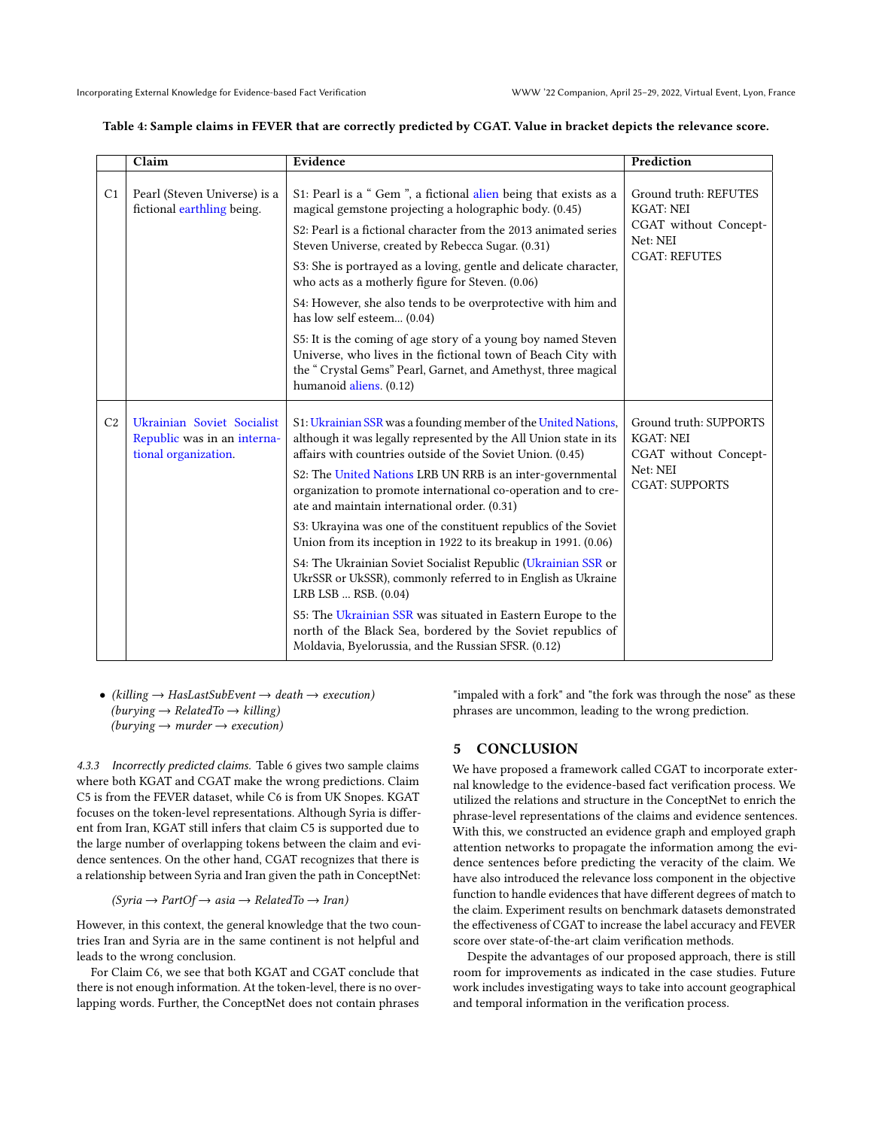#### <span id="page-6-0"></span>Table 4: Sample claims in FEVER that are correctly predicted by CGAT. Value in bracket depicts the relevance score.

|                | Claim                                                                             | Evidence                                                                                                                                                                                                                                                                                                                                                                          | Prediction                                                                                               |  |
|----------------|-----------------------------------------------------------------------------------|-----------------------------------------------------------------------------------------------------------------------------------------------------------------------------------------------------------------------------------------------------------------------------------------------------------------------------------------------------------------------------------|----------------------------------------------------------------------------------------------------------|--|
| C <sub>1</sub> | Pearl (Steven Universe) is a<br>fictional earthling being.                        | S1: Pearl is a " Gem ", a fictional alien being that exists as a<br>magical gemstone projecting a holographic body. (0.45)<br>S2: Pearl is a fictional character from the 2013 animated series<br>Steven Universe, created by Rebecca Sugar. (0.31)                                                                                                                               | Ground truth: REFUTES<br><b>KGAT: NEI</b><br>CGAT without Concept-<br>Net: NEI<br><b>CGAT: REFUTES</b>   |  |
|                |                                                                                   | S3: She is portrayed as a loving, gentle and delicate character,<br>who acts as a motherly figure for Steven. (0.06)                                                                                                                                                                                                                                                              |                                                                                                          |  |
|                |                                                                                   | S4: However, she also tends to be overprotective with him and<br>has low self esteem (0.04)                                                                                                                                                                                                                                                                                       |                                                                                                          |  |
|                |                                                                                   | S5: It is the coming of age story of a young boy named Steven<br>Universe, who lives in the fictional town of Beach City with<br>the "Crystal Gems" Pearl, Garnet, and Amethyst, three magical<br>humanoid aliens. (0.12)                                                                                                                                                         |                                                                                                          |  |
| C <sub>2</sub> | Ukrainian Soviet Socialist<br>Republic was in an interna-<br>tional organization. | S1: Ukrainian SSR was a founding member of the United Nations,<br>although it was legally represented by the All Union state in its<br>affairs with countries outside of the Soviet Union. (0.45)<br>S2: The United Nations LRB UN RRB is an inter-governmental<br>organization to promote international co-operation and to cre-<br>ate and maintain international order. (0.31) | Ground truth: SUPPORTS<br><b>KGAT: NEI</b><br>CGAT without Concept-<br>Net: NEI<br><b>CGAT: SUPPORTS</b> |  |
|                |                                                                                   | S3: Ukrayina was one of the constituent republics of the Soviet<br>Union from its inception in 1922 to its breakup in 1991. (0.06)                                                                                                                                                                                                                                                |                                                                                                          |  |
|                |                                                                                   | S4: The Ukrainian Soviet Socialist Republic (Ukrainian SSR or<br>UkrSSR or UkSSR), commonly referred to in English as Ukraine<br>LRB LSB  RSB. (0.04)                                                                                                                                                                                                                             |                                                                                                          |  |
|                |                                                                                   | S5: The Ukrainian SSR was situated in Eastern Europe to the<br>north of the Black Sea, bordered by the Soviet republics of<br>Moldavia, Byelorussia, and the Russian SFSR. (0.12)                                                                                                                                                                                                 |                                                                                                          |  |

• (killing  $\rightarrow$  HasLastSubEvent  $\rightarrow$  death  $\rightarrow$  execution)  $(burving \rightarrow RelatedTo \rightarrow killing)$  $(burying \rightarrow murder \rightarrow execution)$ 

4.3.3 Incorrectly predicted claims. Table [6](#page-7-1) gives two sample claims where both KGAT and CGAT make the wrong predictions. Claim C5 is from the FEVER dataset, while C6 is from UK Snopes. KGAT focuses on the token-level representations. Although Syria is different from Iran, KGAT still infers that claim C5 is supported due to the large number of overlapping tokens between the claim and evidence sentences. On the other hand, CGAT recognizes that there is a relationship between Syria and Iran given the path in ConceptNet:

 $(Syria \rightarrow PartOf \rightarrow asia \rightarrow RelatedTo \rightarrow Iran)$ 

However, in this context, the general knowledge that the two countries Iran and Syria are in the same continent is not helpful and leads to the wrong conclusion.

For Claim C6, we see that both KGAT and CGAT conclude that there is not enough information. At the token-level, there is no overlapping words. Further, the ConceptNet does not contain phrases

"impaled with a fork" and "the fork was through the nose" as these phrases are uncommon, leading to the wrong prediction.

## 5 CONCLUSION

We have proposed a framework called CGAT to incorporate external knowledge to the evidence-based fact verification process. We utilized the relations and structure in the ConceptNet to enrich the phrase-level representations of the claims and evidence sentences. With this, we constructed an evidence graph and employed graph attention networks to propagate the information among the evidence sentences before predicting the veracity of the claim. We have also introduced the relevance loss component in the objective function to handle evidences that have different degrees of match to the claim. Experiment results on benchmark datasets demonstrated the effectiveness of CGAT to increase the label accuracy and FEVER score over state-of-the-art claim verification methods.

Despite the advantages of our proposed approach, there is still room for improvements as indicated in the case studies. Future work includes investigating ways to take into account geographical and temporal information in the verification process.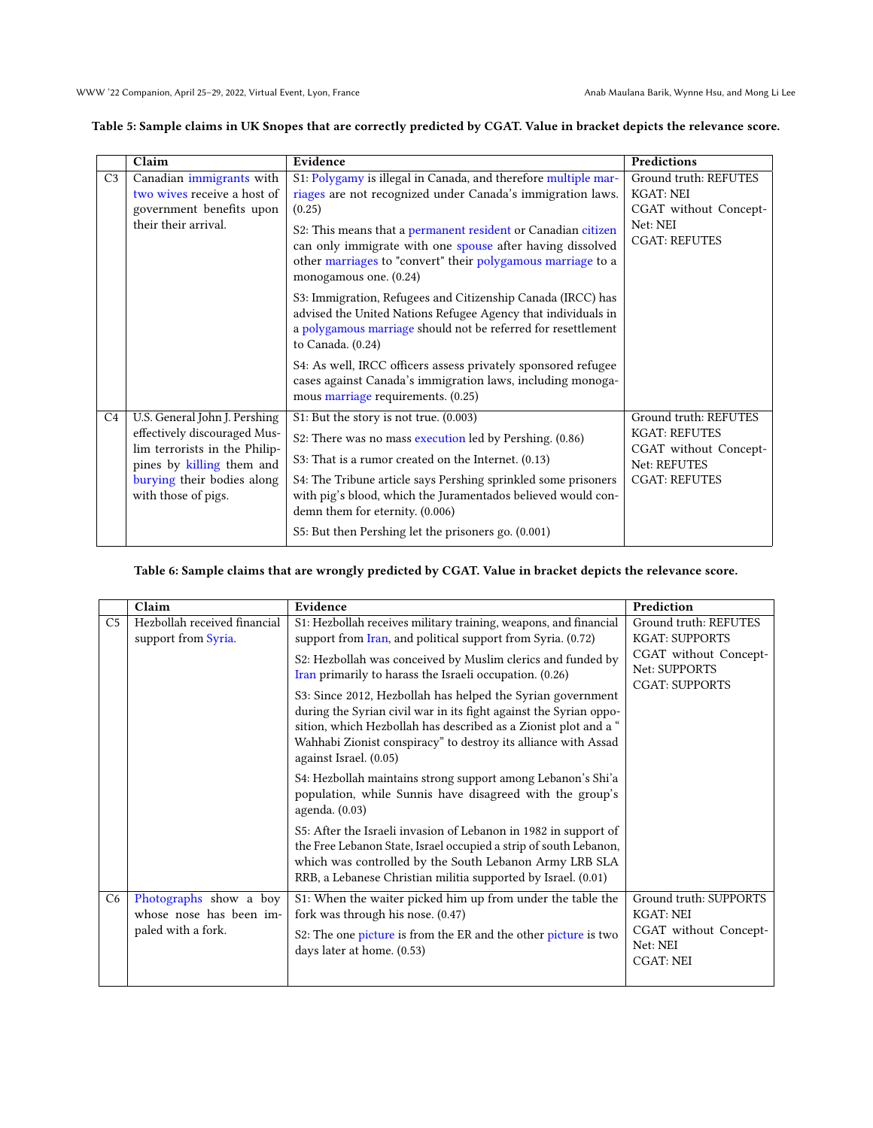# <span id="page-7-0"></span>Table 5: Sample claims in UK Snopes that are correctly predicted by CGAT. Value in bracket depicts the relevance score.

|                | Claim                                                      | Evidence                                                                                                                                                                                                           | Predictions                           |
|----------------|------------------------------------------------------------|--------------------------------------------------------------------------------------------------------------------------------------------------------------------------------------------------------------------|---------------------------------------|
| C <sub>3</sub> | Canadian immigrants with                                   | S1: Polygamy is illegal in Canada, and therefore multiple mar-                                                                                                                                                     | Ground truth: REFUTES                 |
|                | two wives receive a host of                                | riages are not recognized under Canada's immigration laws.                                                                                                                                                         | <b>KGAT: NEI</b>                      |
|                | government benefits upon                                   | (0.25)                                                                                                                                                                                                             | CGAT without Concept-                 |
|                | their their arrival.                                       | S2: This means that a permanent resident or Canadian citizen                                                                                                                                                       | Net: NEI                              |
|                |                                                            | can only immigrate with one spouse after having dissolved                                                                                                                                                          | <b>CGAT: REFUTES</b>                  |
|                |                                                            | other marriages to "convert" their polygamous marriage to a                                                                                                                                                        |                                       |
|                |                                                            | monogamous one. (0.24)                                                                                                                                                                                             |                                       |
|                |                                                            | S3: Immigration, Refugees and Citizenship Canada (IRCC) has<br>advised the United Nations Refugee Agency that individuals in<br>a polygamous marriage should not be referred for resettlement<br>to Canada. (0.24) |                                       |
|                |                                                            | S4: As well, IRCC officers assess privately sponsored refugee<br>cases against Canada's immigration laws, including monoga-<br>mous marriage requirements. (0.25)                                                  |                                       |
| C <sub>4</sub> | U.S. General John J. Pershing                              | S1: But the story is not true. (0.003)                                                                                                                                                                             | Ground truth: REFUTES                 |
|                | effectively discouraged Mus-                               | S2: There was no mass execution led by Pershing. (0.86)                                                                                                                                                            | <b>KGAT: REFUTES</b>                  |
|                | lim terrorists in the Philip-<br>pines by killing them and | S3: That is a rumor created on the Internet. (0.13)                                                                                                                                                                | CGAT without Concept-<br>Net: REFUTES |
|                | burying their bodies along<br>with those of pigs.          | S4: The Tribune article says Pershing sprinkled some prisoners<br>with pig's blood, which the Juramentados believed would con-<br>demn them for eternity. (0.006)                                                  | <b>CGAT: REFUTES</b>                  |
|                |                                                            | S5: But then Pershing let the prisoners go. (0.001)                                                                                                                                                                |                                       |

# Table 6: Sample claims that are wrongly predicted by CGAT. Value in bracket depicts the relevance score.

<span id="page-7-1"></span>

|                | Claim                                                                   | Evidence                                                                                                                                                                                                                                                                                                                                                                                                                                                                                                                                                                                                                                                                                                                                                                                                                                                                                                                                                                     | Prediction                                                                                                        |
|----------------|-------------------------------------------------------------------------|------------------------------------------------------------------------------------------------------------------------------------------------------------------------------------------------------------------------------------------------------------------------------------------------------------------------------------------------------------------------------------------------------------------------------------------------------------------------------------------------------------------------------------------------------------------------------------------------------------------------------------------------------------------------------------------------------------------------------------------------------------------------------------------------------------------------------------------------------------------------------------------------------------------------------------------------------------------------------|-------------------------------------------------------------------------------------------------------------------|
| C <sub>5</sub> | Hezbollah received financial<br>support from Syria.                     | S1: Hezbollah receives military training, weapons, and financial<br>support from Iran, and political support from Syria. (0.72)<br>S2: Hezbollah was conceived by Muslim clerics and funded by<br>Iran primarily to harass the Israeli occupation. (0.26)<br>S3: Since 2012, Hezbollah has helped the Syrian government<br>during the Syrian civil war in its fight against the Syrian oppo-<br>sition, which Hezbollah has described as a Zionist plot and a "<br>Wahhabi Zionist conspiracy" to destroy its alliance with Assad<br>against Israel. (0.05)<br>S4: Hezbollah maintains strong support among Lebanon's Shi'a<br>population, while Sunnis have disagreed with the group's<br>agenda. (0.03)<br>S5: After the Israeli invasion of Lebanon in 1982 in support of<br>the Free Lebanon State, Israel occupied a strip of south Lebanon,<br>which was controlled by the South Lebanon Army LRB SLA<br>RRB, a Lebanese Christian militia supported by Israel. (0.01) | Ground truth: REFUTES<br><b>KGAT: SUPPORTS</b><br>CGAT without Concept-<br>Net: SUPPORTS<br><b>CGAT: SUPPORTS</b> |
| C <sub>6</sub> | Photographs show a boy<br>whose nose has been im-<br>paled with a fork. | S1: When the waiter picked him up from under the table the<br>fork was through his nose. (0.47)<br>S2: The one picture is from the ER and the other picture is two<br>days later at home. (0.53)                                                                                                                                                                                                                                                                                                                                                                                                                                                                                                                                                                                                                                                                                                                                                                             | Ground truth: SUPPORTS<br><b>KGAT: NEI</b><br>CGAT without Concept-<br>Net: NEI<br><b>CGAT: NEI</b>               |